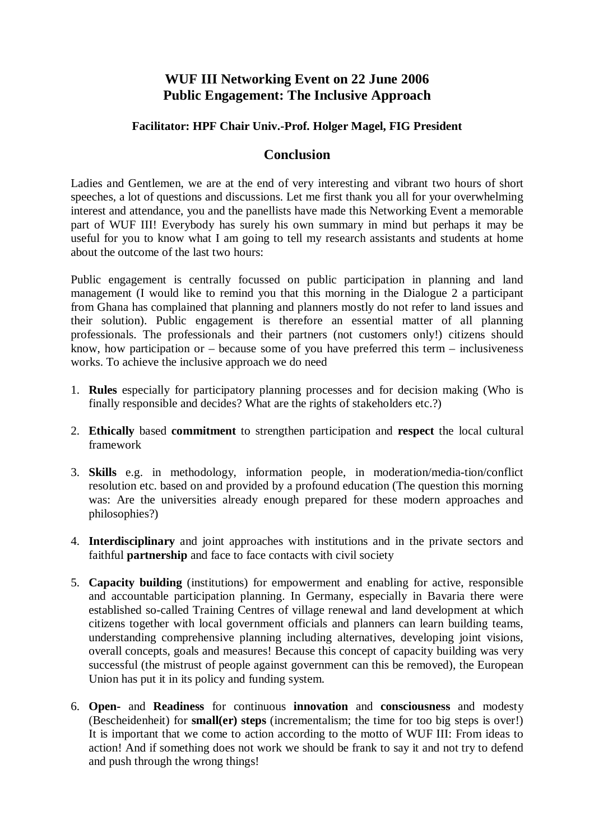## **WUF III Networking Event on 22 June 2006 Public Engagement: The Inclusive Approach**

## **Facilitator: HPF Chair Univ.-Prof. Holger Magel, FIG President**

## **Conclusion**

Ladies and Gentlemen, we are at the end of very interesting and vibrant two hours of short speeches, a lot of questions and discussions. Let me first thank you all for your overwhelming interest and attendance, you and the panellists have made this Networking Event a memorable part of WUF III! Everybody has surely his own summary in mind but perhaps it may be useful for you to know what I am going to tell my research assistants and students at home about the outcome of the last two hours:

Public engagement is centrally focussed on public participation in planning and land management (I would like to remind you that this morning in the Dialogue 2 a participant from Ghana has complained that planning and planners mostly do not refer to land issues and their solution). Public engagement is therefore an essential matter of all planning professionals. The professionals and their partners (not customers only!) citizens should know, how participation or – because some of you have preferred this term – inclusiveness works. To achieve the inclusive approach we do need

- 1. **Rules** especially for participatory planning processes and for decision making (Who is finally responsible and decides? What are the rights of stakeholders etc.?)
- 2. **Ethically** based **commitment** to strengthen participation and **respect** the local cultural framework
- 3. **Skills** e.g. in methodology, information people, in moderation/media-tion/conflict resolution etc. based on and provided by a profound education (The question this morning was: Are the universities already enough prepared for these modern approaches and philosophies?)
- 4. **Interdisciplinary** and joint approaches with institutions and in the private sectors and faithful **partnership** and face to face contacts with civil society
- 5. **Capacity building** (institutions) for empowerment and enabling for active, responsible and accountable participation planning. In Germany, especially in Bavaria there were established so-called Training Centres of village renewal and land development at which citizens together with local government officials and planners can learn building teams, understanding comprehensive planning including alternatives, developing joint visions, overall concepts, goals and measures! Because this concept of capacity building was very successful (the mistrust of people against government can this be removed), the European Union has put it in its policy and funding system.
- 6. **Open-** and **Readiness** for continuous **innovation** and **consciousness** and modesty (Bescheidenheit) for **small(er) steps** (incrementalism; the time for too big steps is over!) It is important that we come to action according to the motto of WUF III: From ideas to action! And if something does not work we should be frank to say it and not try to defend and push through the wrong things!